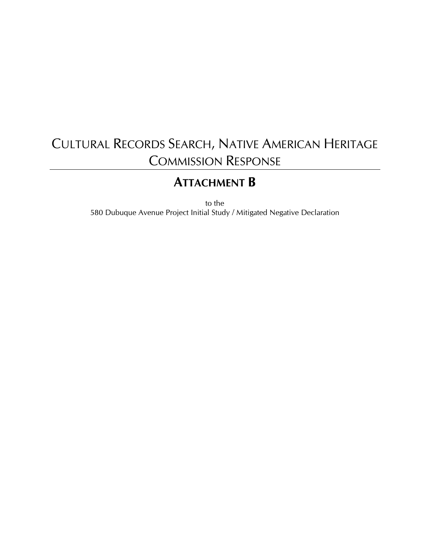# CULTURAL RECORDS SEARCH, NATIVE AMERICAN HERITAGE COMMISSION RESPONSE

# **ATTACHMENT B**

to the

580 Dubuque Avenue Project Initial Study / Mitigated Negative Declaration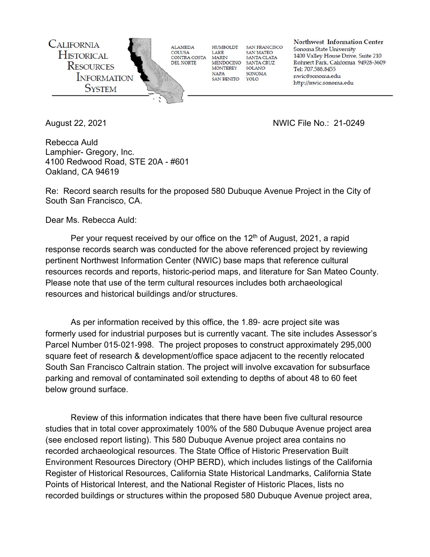

August 22, 2021 NWIC File No.: 21-0249

Rebecca Auld Lamphier- Gregory, Inc. 4100 Redwood Road, STE 20A - #601 Oakland, CA 94619

Re: Record search results for the proposed 580 Dubuque Avenue Project in the City of South San Francisco, CA.

Dear Ms. Rebecca Auld:

Per your request received by our office on the  $12<sup>th</sup>$  of August, 2021, a rapid response records search was conducted for the above referenced project by reviewing pertinent Northwest Information Center (NWIC) base maps that reference cultural resources records and reports, historic-period maps, and literature for San Mateo County. Please note that use of the term cultural resources includes both archaeological resources and historical buildings and/or structures.

As per information received by this office, the 1.89- acre project site was formerly used for industrial purposes but is currently vacant. The site includes Assessor's Parcel Number 015-021-998. The project proposes to construct approximately 295,000 square feet of research & development/office space adjacent to the recently relocated South San Francisco Caltrain station. The project will involve excavation for subsurface parking and removal of contaminated soil extending to depths of about 48 to 60 feet below ground surface.

Review of this information indicates that there have been five cultural resource studies that in total cover approximately 100% of the 580 Dubuque Avenue project area (see enclosed report listing). This 580 Dubuque Avenue project area contains no recorded archaeological resources. The State Office of Historic Preservation Built Environment Resources Directory (OHP BERD), which includes listings of the California Register of Historical Resources, California State Historical Landmarks, California State Points of Historical Interest, and the National Register of Historic Places, lists no recorded buildings or structures within the proposed 580 Dubuque Avenue project area,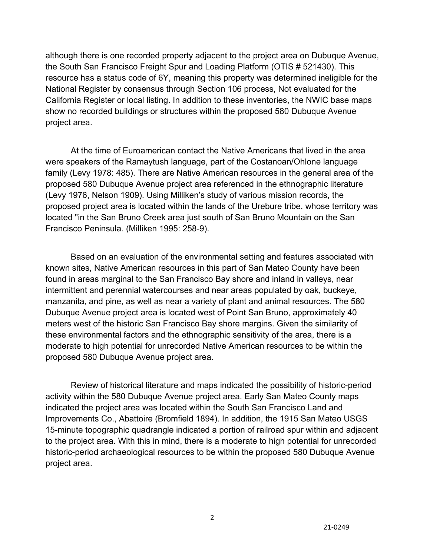although there is one recorded property adjacent to the project area on Dubuque Avenue, the South San Francisco Freight Spur and Loading Platform (OTIS # 521430). This resource has a status code of 6Y, meaning this property was determined ineligible for the National Register by consensus through Section 106 process, Not evaluated for the California Register or local listing. In addition to these inventories, the NWIC base maps show no recorded buildings or structures within the proposed 580 Dubuque Avenue project area.

At the time of Euroamerican contact the Native Americans that lived in the area were speakers of the Ramaytush language, part of the Costanoan/Ohlone language family (Levy 1978: 485). There are Native American resources in the general area of the proposed 580 Dubuque Avenue project area referenced in the ethnographic literature (Levy 1976, Nelson 1909). Using Milliken's study of various mission records, the proposed project area is located within the lands of the Urebure tribe, whose territory was located "in the San Bruno Creek area just south of San Bruno Mountain on the San Francisco Peninsula. (Milliken 1995: 258-9).

Based on an evaluation of the environmental setting and features associated with known sites, Native American resources in this part of San Mateo County have been found in areas marginal to the San Francisco Bay shore and inland in valleys, near intermittent and perennial watercourses and near areas populated by oak, buckeye, manzanita, and pine, as well as near a variety of plant and animal resources. The 580 Dubuque Avenue project area is located west of Point San Bruno, approximately 40 meters west of the historic San Francisco Bay shore margins. Given the similarity of these environmental factors and the ethnographic sensitivity of the area, there is a moderate to high potential for unrecorded Native American resources to be within the proposed 580 Dubuque Avenue project area.

Review of historical literature and maps indicated the possibility of historic-period activity within the 580 Dubuque Avenue project area. Early San Mateo County maps indicated the project area was located within the South San Francisco Land and Improvements Co., Abattoire (Bromfield 1894). In addition, the 1915 San Mateo USGS 15-minute topographic quadrangle indicated a portion of railroad spur within and adjacent to the project area. With this in mind, there is a moderate to high potential for unrecorded historic-period archaeological resources to be within the proposed 580 Dubuque Avenue project area.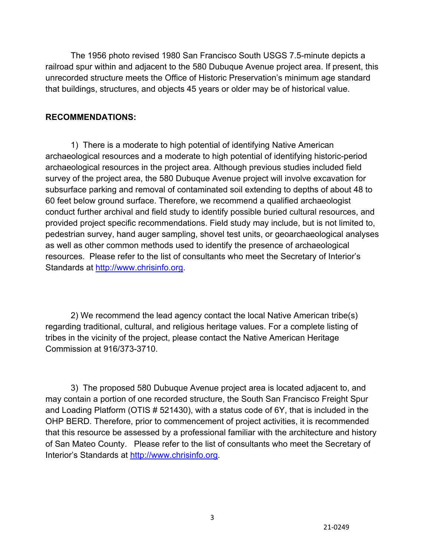The 1956 photo revised 1980 San Francisco South USGS 7.5-minute depicts a railroad spur within and adjacent to the 580 Dubuque Avenue project area. If present, this unrecorded structure meets the Office of Historic Preservation's minimum age standard that buildings, structures, and objects 45 years or older may be of historical value.

### **RECOMMENDATIONS:**

1) There is a moderate to high potential of identifying Native American archaeological resources and a moderate to high potential of identifying historic-period archaeological resources in the project area. Although previous studies included field survey of the project area, the 580 Dubuque Avenue project will involve excavation for subsurface parking and removal of contaminated soil extending to depths of about 48 to 60 feet below ground surface. Therefore, we recommend a qualified archaeologist conduct further archival and field study to identify possible buried cultural resources, and provided project specific recommendations. Field study may include, but is not limited to, pedestrian survey, hand auger sampling, shovel test units, or geoarchaeological analyses as well as other common methods used to identify the presence of archaeological resources. Please refer to the list of consultants who meet the Secretary of Interior's Standards at http://www.chrisinfo.org.

2) We recommend the lead agency contact the local Native American tribe(s) regarding traditional, cultural, and religious heritage values. For a complete listing of tribes in the vicinity of the project, please contact the Native American Heritage Commission at 916/373-3710.

3) The proposed 580 Dubuque Avenue project area is located adjacent to, and may contain a portion of one recorded structure, the South San Francisco Freight Spur and Loading Platform (OTIS # 521430), with a status code of 6Y, that is included in the OHP BERD. Therefore, prior to commencement of project activities, it is recommended that this resource be assessed by a professional familiar with the architecture and history of San Mateo County. Please refer to the list of consultants who meet the Secretary of Interior's Standards at http://www.chrisinfo.org.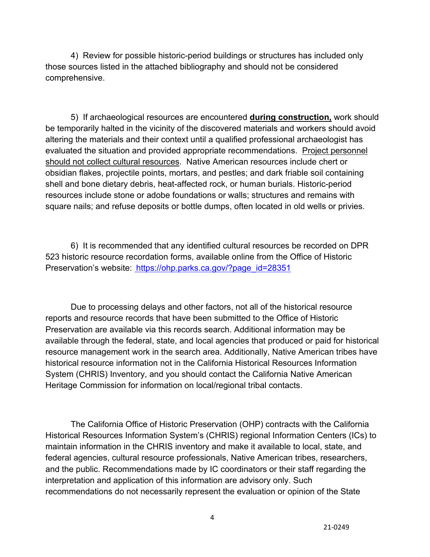4) Review for possible historic-period buildings or structures has included only those sources listed in the attached bibliography and should not be considered comprehensive.

5) If archaeological resources are encountered **during construction,** work should be temporarily halted in the vicinity of the discovered materials and workers should avoid altering the materials and their context until a qualified professional archaeologist has evaluated the situation and provided appropriate recommendations. Project personnel should not collect cultural resources. Native American resources include chert or obsidian flakes, projectile points, mortars, and pestles; and dark friable soil containing shell and bone dietary debris, heat-affected rock, or human burials. Historic-period resources include stone or adobe foundations or walls; structures and remains with square nails; and refuse deposits or bottle dumps, often located in old wells or privies.

6) It is recommended that any identified cultural resources be recorded on DPR 523 historic resource recordation forms, available online from the Office of Historic Preservation's website: https://ohp.parks.ca.gov/?page\_id=28351

Due to processing delays and other factors, not all of the historical resource reports and resource records that have been submitted to the Office of Historic Preservation are available via this records search. Additional information may be available through the federal, state, and local agencies that produced or paid for historical resource management work in the search area. Additionally, Native American tribes have historical resource information not in the California Historical Resources Information System (CHRIS) Inventory, and you should contact the California Native American Heritage Commission for information on local/regional tribal contacts.

The California Office of Historic Preservation (OHP) contracts with the California Historical Resources Information System's (CHRIS) regional Information Centers (ICs) to maintain information in the CHRIS inventory and make it available to local, state, and federal agencies, cultural resource professionals, Native American tribes, researchers, and the public. Recommendations made by IC coordinators or their staff regarding the interpretation and application of this information are advisory only. Such recommendations do not necessarily represent the evaluation or opinion of the State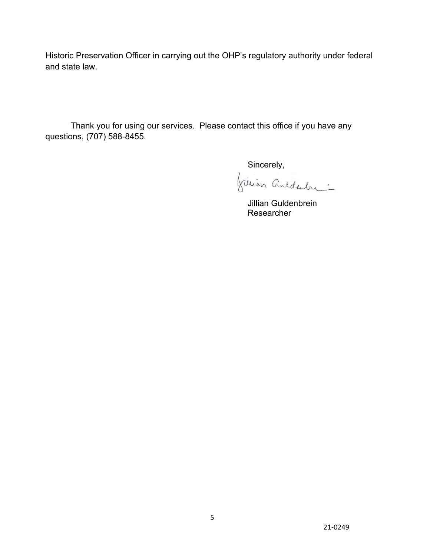Historic Preservation Officer in carrying out the OHP's regulatory authority under federal and state law.

Thank you for using our services. Please contact this office if you have any questions, (707) 588-8455.

Sincerely,<br>Júlian Galdahr

 Jillian Guldenbrein Researcher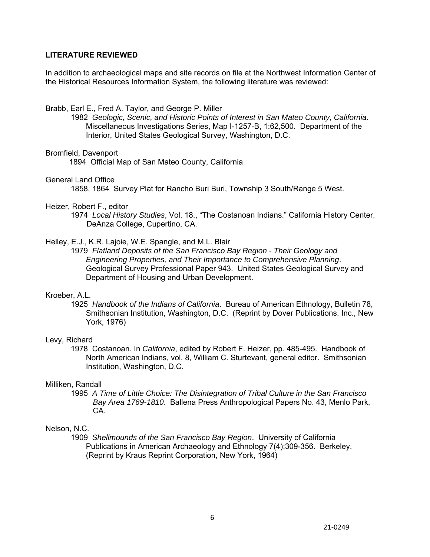#### **LITERATURE REVIEWED**

In addition to archaeological maps and site records on file at the Northwest Information Center of the Historical Resources Information System, the following literature was reviewed:

#### Brabb, Earl E., Fred A. Taylor, and George P. Miller

1982 *Geologic, Scenic, and Historic Points of Interest in San Mateo County, California*. Miscellaneous Investigations Series, Map I-1257-B, 1:62,500. Department of the Interior, United States Geological Survey, Washington, D.C.

#### Bromfield, Davenport

1894 Official Map of San Mateo County, California

#### General Land Office

1858, 1864 Survey Plat for Rancho Buri Buri, Township 3 South/Range 5 West.

#### Heizer, Robert F., editor

1974 *Local History Studies*, Vol. 18., "The Costanoan Indians." California History Center, DeAnza College, Cupertino, CA.

#### Helley, E.J., K.R. Lajoie, W.E. Spangle, and M.L. Blair

1979 *Flatland Deposits of the San Francisco Bay Region - Their Geology and Engineering Properties, and Their Importance to Comprehensive Planning*. Geological Survey Professional Paper 943. United States Geological Survey and Department of Housing and Urban Development.

#### Kroeber, A.L.

1925 *Handbook of the Indians of California*. Bureau of American Ethnology, Bulletin 78, Smithsonian Institution, Washington, D.C. (Reprint by Dover Publications, Inc., New York, 1976)

#### Levy, Richard

1978 Costanoan. In *California*, edited by Robert F. Heizer, pp. 485-495. Handbook of North American Indians, vol. 8, William C. Sturtevant, general editor. Smithsonian Institution, Washington, D.C.

#### Milliken, Randall

1995 *A Time of Little Choice: The Disintegration of Tribal Culture in the San Francisco Bay Area 1769-1810*. Ballena Press Anthropological Papers No. 43, Menlo Park, CA.

#### Nelson, N.C.

1909 *Shellmounds of the San Francisco Bay Region*. University of California Publications in American Archaeology and Ethnology 7(4):309-356. Berkeley. (Reprint by Kraus Reprint Corporation, New York, 1964)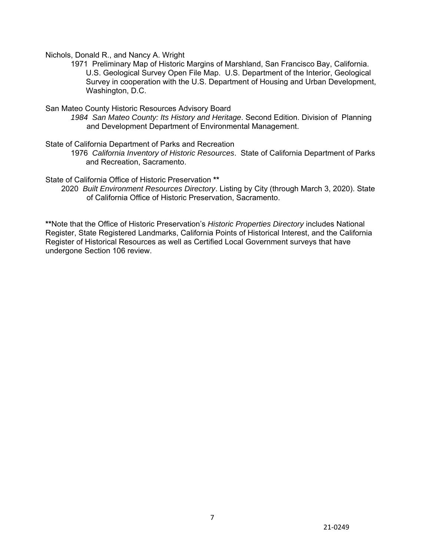Nichols, Donald R., and Nancy A. Wright

1971 Preliminary Map of Historic Margins of Marshland, San Francisco Bay, California. U.S. Geological Survey Open File Map. U.S. Department of the Interior, Geological Survey in cooperation with the U.S. Department of Housing and Urban Development, Washington, D.C.

San Mateo County Historic Resources Advisory Board

*1984 San Mateo County: Its History and Heritage*. Second Edition. Division of Planning and Development Department of Environmental Management.

State of California Department of Parks and Recreation

1976 *California Inventory of Historic Resources*. State of California Department of Parks and Recreation, Sacramento.

State of California Office of Historic Preservation **\*\***

2020 *Built Environment Resources Directory*. Listing by City (through March 3, 2020). State of California Office of Historic Preservation, Sacramento.

**\*\***Note that the Office of Historic Preservation's *Historic Properties Directory* includes National Register, State Registered Landmarks, California Points of Historical Interest, and the California Register of Historical Resources as well as Certified Local Government surveys that have undergone Section 106 review.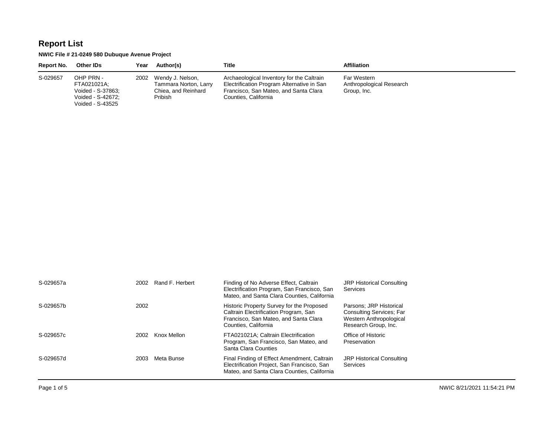#### **NWIC File # 21-0249 580 Dubuque Avenue Project**

Voided - S-43525

| Report No. | <b>Other IDs</b>                                                   | Year | Author(s)                                                                        | Title                                                                                                                                                    | <b>Affiliation</b>                                     |
|------------|--------------------------------------------------------------------|------|----------------------------------------------------------------------------------|----------------------------------------------------------------------------------------------------------------------------------------------------------|--------------------------------------------------------|
| S-029657   | OHP PRN -<br>FTA021021A;<br>Voided - S-37863;<br>Voided - S-42672: |      | 2002 Wendy J. Nelson,<br>Tammara Norton, Larry<br>Chiea, and Reinhard<br>Pribish | Archaeological Inventory for the Caltrain<br>Electrification Program Alternative in San<br>Francisco, San Mateo, and Santa Clara<br>Counties, California | Far Western<br>Anthropological Research<br>Group, Inc. |

| S-029657a | 2002 | Rand F. Herbert | Finding of No Adverse Effect, Caltrain<br>Electrification Program, San Francisco, San<br>Mateo, and Santa Clara Counties, California                | <b>JRP Historical Consulting</b><br>Services                                                                  |
|-----------|------|-----------------|-----------------------------------------------------------------------------------------------------------------------------------------------------|---------------------------------------------------------------------------------------------------------------|
| S-029657b | 2002 |                 | Historic Property Survey for the Proposed<br>Caltrain Electrification Program, San<br>Francisco, San Mateo, and Santa Clara<br>Counties, California | Parsons: JRP Historical<br><b>Consulting Services: Far</b><br>Western Anthropological<br>Research Group, Inc. |
| S-029657c | 2002 | Knox Mellon     | FTA021021A: Caltrain Electrification<br>Program, San Francisco, San Mateo, and<br>Santa Clara Counties                                              | Office of Historic<br>Preservation                                                                            |
| S-029657d | 2003 | Meta Bunse      | Final Finding of Effect Amendment, Caltrain<br>Electrification Project, San Francisco, San<br>Mateo, and Santa Clara Counties, California           | <b>JRP Historical Consulting</b><br>Services                                                                  |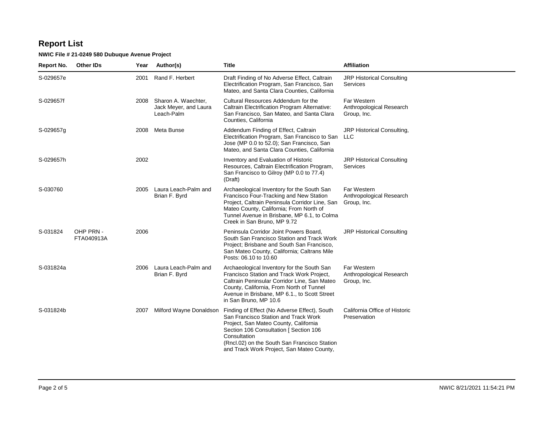| Report No. | <b>Other IDs</b>        | Year | Author(s)                                                       | Title                                                                                                                                                                                                                                                                                | <b>Affiliation</b>                                     |
|------------|-------------------------|------|-----------------------------------------------------------------|--------------------------------------------------------------------------------------------------------------------------------------------------------------------------------------------------------------------------------------------------------------------------------------|--------------------------------------------------------|
| S-029657e  |                         | 2001 | Rand F. Herbert                                                 | Draft Finding of No Adverse Effect, Caltrain<br>Electrification Program, San Francisco, San<br>Mateo, and Santa Clara Counties, California                                                                                                                                           | JRP Historical Consulting<br>Services                  |
| S-029657f  |                         |      | 2008 Sharon A. Waechter,<br>Jack Meyer, and Laura<br>Leach-Palm | Cultural Resources Addendum for the<br>Caltrain Electrification Program Alternative:<br>San Francisco, San Mateo, and Santa Clara<br>Counties, California                                                                                                                            | Far Western<br>Anthropological Research<br>Group, Inc. |
| S-029657g  |                         | 2008 | Meta Bunse                                                      | Addendum Finding of Effect, Caltrain<br>Electrification Program, San Francisco to San<br>Jose (MP 0.0 to 52.0); San Francisco, San<br>Mateo, and Santa Clara Counties, California                                                                                                    | JRP Historical Consulting,<br>LLC.                     |
| S-029657h  |                         | 2002 |                                                                 | Inventory and Evaluation of Historic<br>Resources, Caltrain Electrification Program,<br>San Francisco to Gilroy (MP 0.0 to 77.4)<br>(Draft)                                                                                                                                          | <b>JRP Historical Consulting</b><br>Services           |
| S-030760   |                         |      | 2005 Laura Leach-Palm and<br>Brian F. Byrd                      | Archaeological Inventory for the South San<br>Francisco Four-Tracking and New Station<br>Project, Caltrain Peninsula Corridor Line, San<br>Mateo County, California; From North of<br>Tunnel Avenue in Brisbane, MP 6.1, to Colma<br>Creek in San Bruno, MP 9.72                     | Far Western<br>Anthropological Research<br>Group, Inc. |
| S-031824   | OHP PRN -<br>FTA040913A | 2006 |                                                                 | Peninsula Corridor Joint Powers Board,<br>South San Francisco Station and Track Work<br>Project; Brisbane and South San Francisco,<br>San Mateo County, California; Caltrans Mile<br>Posts: 06.10 to 10.60                                                                           | <b>JRP Historical Consulting</b>                       |
| S-031824a  |                         |      | 2006 Laura Leach-Palm and<br>Brian F. Byrd                      | Archaeological Inventory for the South San<br>Francisco Station and Track Work Project,<br>Caltrain Peninsular Corridor Line, San Mateo<br>County, California, From North of Tunnel<br>Avenue in Brisbane, MP 6.1., to Scott Street<br>in San Bruno, MP 10.6                         | Far Western<br>Anthropological Research<br>Group, Inc. |
| S-031824b  |                         | 2007 | Milford Wayne Donaldson                                         | Finding of Effect (No Adverse Effect), South<br>San Francisco Station and Track Work<br>Project, San Mateo County, California<br>Section 106 Consultation [ Section 106<br>Consultation<br>(Rncl.02) on the South San Francisco Station<br>and Track Work Project, San Mateo County, | California Office of Historic<br>Preservation          |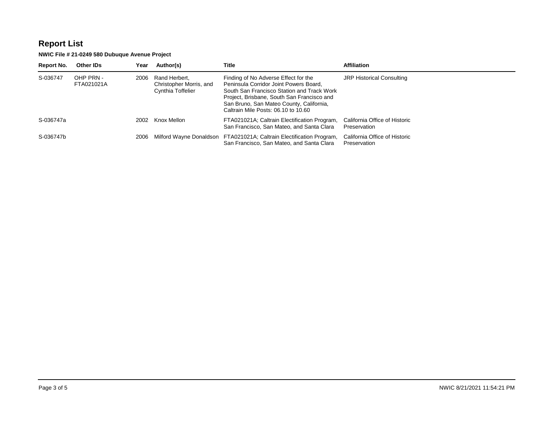| Report No. | <b>Other IDs</b>        | Year | Author(s)                                                     | Title                                                                                                                                                                                                                                                         | <b>Affiliation</b>                            |
|------------|-------------------------|------|---------------------------------------------------------------|---------------------------------------------------------------------------------------------------------------------------------------------------------------------------------------------------------------------------------------------------------------|-----------------------------------------------|
| S-036747   | OHP PRN -<br>FTA021021A | 2006 | Rand Herbert.<br>Christopher Morris, and<br>Cynthia Toffelier | Finding of No Adverse Effect for the<br>Peninsula Corridor Joint Powers Board,<br>South San Francisco Station and Track Work<br>Project, Brisbane, South San Francisco and<br>San Bruno, San Mateo County, California,<br>Caltrain Mile Posts: 06.10 to 10.60 | <b>JRP Historical Consulting</b>              |
| S-036747a  |                         | 2002 | Knox Mellon                                                   | FTA021021A; Caltrain Electification Program,<br>San Francisco, San Mateo, and Santa Clara                                                                                                                                                                     | California Office of Historic<br>Preservation |
| S-036747b  |                         | 2006 |                                                               | Milford Wayne Donaldson FTA021021A; Caltrain Electification Program,<br>San Francisco, San Mateo, and Santa Clara                                                                                                                                             | California Office of Historic<br>Preservation |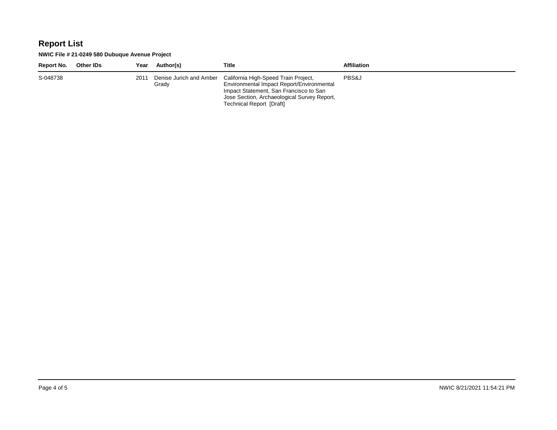| Report No. | <b>Other IDs</b> | Year | Author(s)                        | Title                                                                                                                                                                                                         | <b>Affiliation</b> |
|------------|------------------|------|----------------------------------|---------------------------------------------------------------------------------------------------------------------------------------------------------------------------------------------------------------|--------------------|
| S-048738   |                  | 2011 | Denise Jurich and Amber<br>Grady | California High-Speed Train Project,<br>Environmental Impact Report/Environmental<br>Impact Statement, San Francisco to San<br>Jose Section, Archaeological Survey Report,<br><b>Technical Report [Draft]</b> | PBS&J              |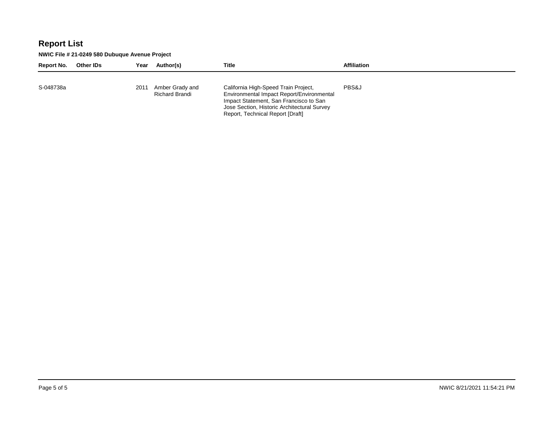| Report No. | Other IDs | Year | Author(s)                         | Title                                                                                                                                                                                                          | <b>Affiliation</b> |
|------------|-----------|------|-----------------------------------|----------------------------------------------------------------------------------------------------------------------------------------------------------------------------------------------------------------|--------------------|
| S-048738a  |           | 2011 | Amber Grady and<br>Richard Brandi | California High-Speed Train Project,<br>Environmental Impact Report/Environmental<br>Impact Statement, San Francisco to San<br>Jose Section, Historic Architectural Survey<br>Report, Technical Report [Draft] | PBS&J              |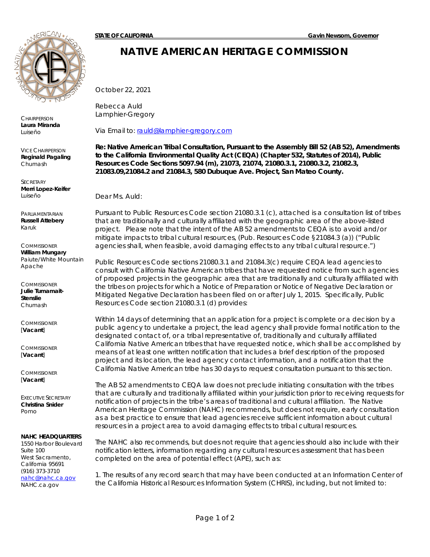

**CHAIRPERSON Laura Miranda**  *Luiseño*

VICE CHAIRPERSON **Reginald Pagaling** *Chumash*

**SECRETARY Merri Lopez-Keifer** *Luiseño*

PARLIAMENTARIAN **Russell Attebery** *Karuk* 

**COMMISSIONER William Mungary** *Paiute/White Mountain Apache*

**COMMISSIONER Julie Tumamait-Stenslie** *Chumash*

**COMMISSIONER** [**Vacant**]

COMMISSIONER [**Vacant**]

**COMMISSIONER** [**Vacant**]

EXECUTIVE SECRETARY **Christina Snider** *Pomo*

#### **NAHC HEADQUARTERS**

1550 Harbor Boulevard Suite 100 West Sacramento, California 95691 (916) 373-3710 [nahc@nahc.ca.gov](mailto:nahc@nahc.ca.gov) NAHC.ca.gov

## **NATIVE AMERICAN HERITAGE COMMISSION**

October 22, 2021

Rebecca Auld Lamphier-Gregory

Via Email to: [rauld@lamphier-gregory.com](mailto:rauld@lamphier-gregory.com)

**Re: Native American Tribal Consultation, Pursuant to the Assembly Bill 52 (AB 52), Amendments to the California Environmental Quality Act (CEQA) (Chapter 532, Statutes of 2014), Public Resources Code Sections 5097.94 (m), 21073, 21074, 21080.3.1, 21080.3.2, 21082.3, 21083.09,21084.2 and 21084.3, 580 Dubuque Ave. Project, San Mateo County.**

Dear Ms. Auld:

Pursuant to Public Resources Code section 21080.3.1 (c), attached is a consultation list of tribes that are traditionally and culturally affiliated with the geographic area of the above-listed project. Please note that the intent of the AB 52 amendments to CEQA is to avoid and/or mitigate impacts to tribal cultural resources, (Pub. Resources Code §21084.3 (a)) ("Public agencies shall, when feasible, avoid damaging effects to any tribal cultural resource.")

Public Resources Code sections 21080.3.1 and 21084.3(c) require CEQA lead agencies to consult with California Native American tribes that have requested notice from such agencies of proposed projects in the geographic area that are traditionally and culturally affiliated with the tribes on projects for which a Notice of Preparation or Notice of Negative Declaration or Mitigated Negative Declaration has been filed on or after July 1, 2015. Specifically, Public Resources Code section 21080.3.1 (d) provides:

*Within 14 days of determining that an application for a project is complete or a decision by a public agency to undertake a project, the lead agency shall provide formal notification to the*  designated contact of, or a tribal representative of, traditionally and culturally affiliated *California Native American tribes that have requested notice, which shall be accomplished by means of at least one written notification that includes a brief description of the proposed project and its location, the lead agency contact information, and a notification that the California Native American tribe has 30 days to request consultation pursuant to this section.* 

The AB 52 amendments to CEQA law does not preclude initiating consultation with the tribes that are culturally and traditionally affiliated within your jurisdiction prior to receiving requests for notification of projects in the tribe's areas of traditional and cultural affiliation. The Native American Heritage Commission (NAHC) recommends, but does not require, early consultation as a best practice to ensure that lead agencies receive sufficient information about cultural resources in a project area to avoid damaging effects to tribal cultural resources.

The NAHC also recommends, but does not require that agencies should also include with their notification letters, information regarding any cultural resources assessment that has been completed on the area of potential effect (APE), such as:

1. The results of any record search that may have been conducted at an Information Center of the California Historical Resources Information System (CHRIS), including, but not limited to: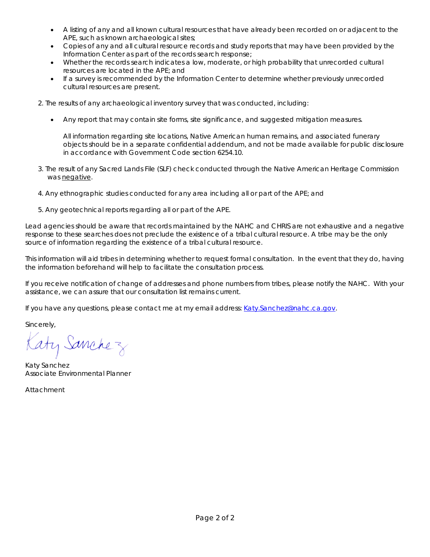- A listing of any and all known cultural resources that have already been recorded on or adjacent to the APE, such as known archaeological sites;
- Copies of any and all cultural resource records and study reports that may have been provided by the Information Center as part of the records search response;
- Whether the records search indicates a low, moderate, or high probability that unrecorded cultural resources are located in the APE; and
- If a survey is recommended by the Information Center to determine whether previously unrecorded cultural resources are present.
- 2. The results of any archaeological inventory survey that was conducted, including:
	- Any report that may contain site forms, site significance, and suggested mitigation measures.

All information regarding site locations, Native American human remains, and associated funerary objects should be in a separate confidential addendum, and not be made available for public disclosure in accordance with Government Code section 6254.10.

- 3. The result of any Sacred Lands File (SLF) check conducted through the Native American Heritage Commission was negative.
- 4. Any ethnographic studies conducted for any area including all or part of the APE; and
- 5. Any geotechnical reports regarding all or part of the APE.

Lead agencies should be aware that records maintained by the NAHC and CHRIS are not exhaustive and a negative response to these searches does not preclude the existence of a tribal cultural resource. A tribe may be the only source of information regarding the existence of a tribal cultural resource.

This information will aid tribes in determining whether to request formal consultation. In the event that they do, having the information beforehand will help to facilitate the consultation process.

If you receive notification of change of addresses and phone numbers from tribes, please notify the NAHC. With your assistance, we can assure that our consultation list remains current.

If you have any questions, please contact me at my email address: [Katy.Sanchez@nahc.ca.gov.](mailto:Katy.Sanchez@nahc.ca.gov)

Sincerely,

aty Sanchez

Katy Sanchez *Associate Environmental Planner*

Attachment